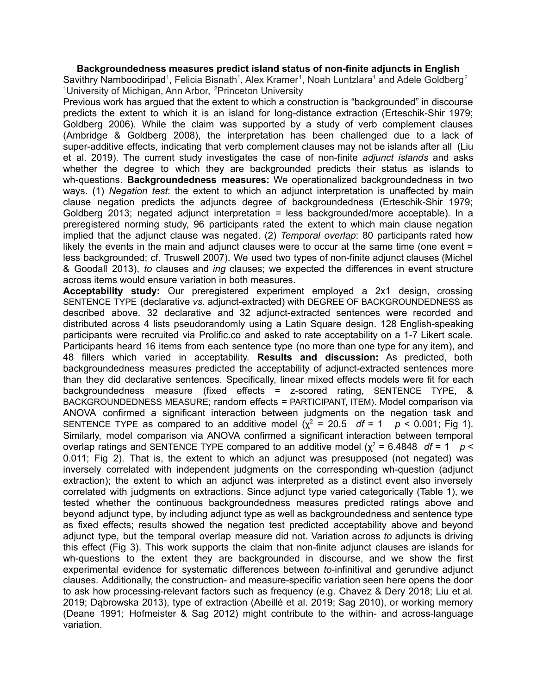**Backgroundedness measures predict island status of non-finite adjuncts in English** Savithry Namboodiripad<sup>1</sup>, Felicia Bisnath<sup>1</sup>, Alex Kramer<sup>1</sup>, Noah Luntzlara<sup>1</sup> and Adele Goldberg<sup>2</sup> <sup>1</sup>University of Michigan, Ann Arbor, <sup>2</sup>Princeton University

Previous work has argued that the extent to which a construction is "backgrounded" in discourse predicts the extent to which it is an island for long-distance extraction (Erteschik-Shir 1979; Goldberg 2006). While the claim was supported by a study of verb complement clauses (Ambridge & Goldberg 2008), the interpretation has been challenged due to a lack of super-additive effects, indicating that verb complement clauses may not be islands after all (Liu et al. 2019). The current study investigates the case of non-finite *adjunct islands* and asks whether the degree to which they are backgrounded predicts their status as islands to wh-questions. **Backgroundedness measures:** We operationalized backgroundedness in two ways. (1) *Negation test*: the extent to which an adjunct interpretation is unaffected by main clause negation predicts the adjuncts degree of backgroundedness (Erteschik-Shir 1979; Goldberg 2013; negated adjunct interpretation = less backgrounded/more acceptable). In a preregistered norming study, 96 participants rated the extent to which main clause negation implied that the adjunct clause was negated. (2) *Temporal overlap*: 80 participants rated how likely the events in the main and adjunct clauses were to occur at the same time (one event = less backgrounded; cf. Truswell 2007). We used two types of non-finite adjunct clauses (Michel & Goodall 2013), *to* clauses and *ing* clauses; we expected the differences in event structure across items would ensure variation in both measures.

**Acceptability study:** Our preregistered experiment employed a 2x1 design, crossing SENTENCE TYPE (declarative *vs.* adjunct-extracted) with DEGREE OF BACKGROUNDEDNESS as described above. 32 declarative and 32 adjunct-extracted sentences were recorded and distributed across 4 lists pseudorandomly using a Latin Square design. 128 English-speaking participants were recruited via Prolific.co and asked to rate acceptability on a 1-7 Likert scale. Participants heard 16 items from each sentence type (no more than one type for any item), and 48 fillers which varied in acceptability. **Results and discussion:** As predicted, both backgroundedness measures predicted the acceptability of adjunct-extracted sentences more than they did declarative sentences. Specifically, linear mixed effects models were fit for each backgroundedness measure (fixed effects = z-scored rating, SENTENCE TYPE, & BACKGROUNDEDNESS MEASURE; random effects = PARTICIPANT, ITEM). Model comparison via ANOVA confirmed a significant interaction between judgments on the negation task and SENTENCE TYPE as compared to an additive model  $(\chi^2 = 20.5 \text{ df} = 1 \text{ } p \le 0.001$ ; Fig 1). Similarly, model comparison via ANOVA confirmed a significant interaction between temporal overlap ratings and SENTENCE TYPE compared to an additive model  $(\chi^2 = 6.4848 \text{ df} = 1 \text{ p}$ 0.011; Fig 2). That is, the extent to which an adjunct was presupposed (not negated) was inversely correlated with independent judgments on the corresponding wh-question (adjunct extraction); the extent to which an adjunct was interpreted as a distinct event also inversely correlated with judgments on extractions. Since adjunct type varied categorically (Table 1), we tested whether the continuous backgroundedness measures predicted ratings above and beyond adjunct type, by including adjunct type as well as backgroundedness and sentence type as fixed effects; results showed the negation test predicted acceptability above and beyond adjunct type, but the temporal overlap measure did not. Variation across *to* adjuncts is driving this effect (Fig 3). This work supports the claim that non-finite adjunct clauses are islands for wh-questions to the extent they are backgrounded in discourse, and we show the first experimental evidence for systematic differences between *to*-infinitival and gerundive adjunct clauses. Additionally, the construction- and measure-specific variation seen here opens the door to ask how processing-relevant factors such as frequency (e.g. Chavez & Dery 2018; Liu et al. 2019; Dąbrowska 2013), type of extraction (Abeillé et al. 2019; Sag 2010), or working memory (Deane 1991; Hofmeister & Sag 2012) might contribute to the within- and across-language variation.